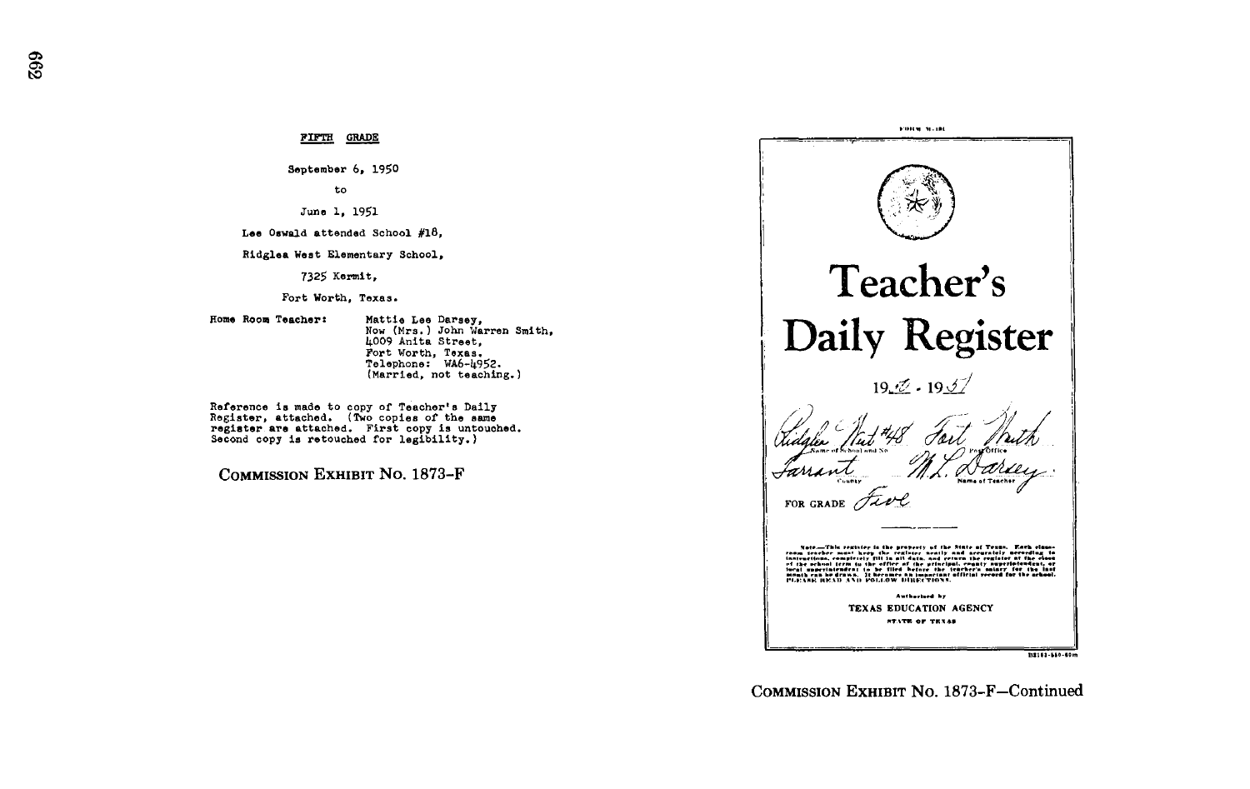FIFTH GRADE

September 6, 1950

to

June 1, 1951

Lee Oswald attended School #18,

Ridglea West Elementary School,

7325 Kermit,

Fort Worth, Texas .

Home Room Teacher: Mattie Lee Darsey, Now (Mrs .) John Warren Smith, 4009 Anita Street, Fort Worth, Texas.<br>Telephone: WA6-4952.<br>(Mennied pot tecchin (Married, not teaching.)

Reference is made to copy of Teacher's Daily Register, attached. (Two copies of the same register are attached. First copy is untouched. Second copy is retouched for legibility.)

COMMISSION EXHIBIT No. 1873-F



COMMISSION EXHIBIT No. 1873-F-Continued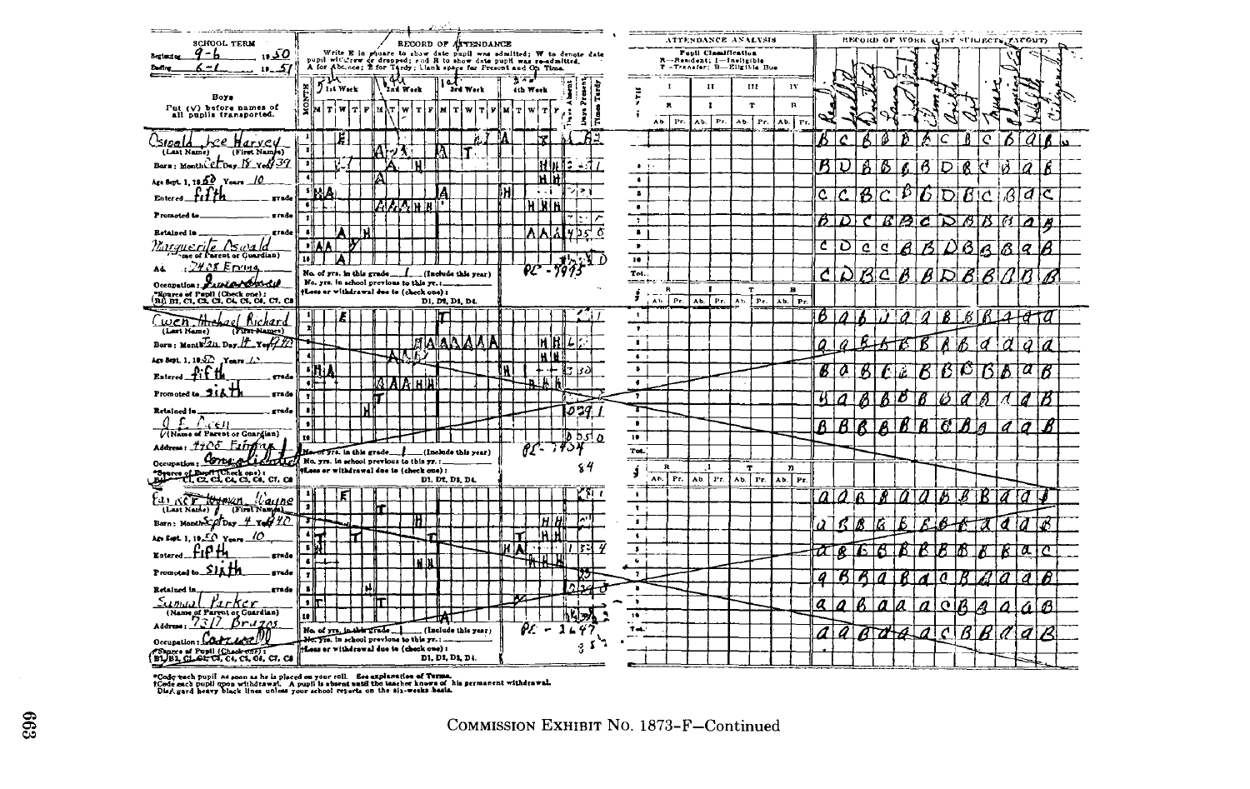

"Code tech pupil as soon as he is placed on your roll. Ese explamation of Terma.<br>1Code sach pupil upon withdrawal, A pupil is absent unifit the teacher knows of his permanent withdrawal.<br>Disri gard heavy black lines unless